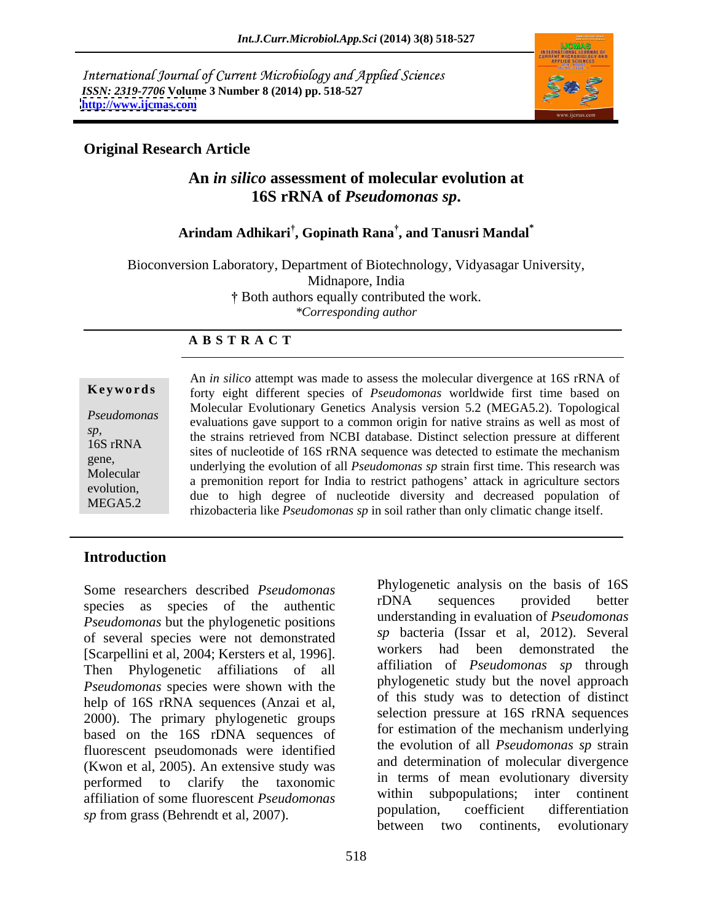International Journal of Current Microbiology and Applied Sciences *ISSN: 2319-7706* **Volume 3 Number 8 (2014) pp. 518-527 <http://www.ijcmas.com>**



#### **Original Research Article**

### **An** *in silico* **assessment of molecular evolution at 16S rRNA of** *Pseudomonas sp***.**

### **Arindam Adhikari , Gopinath Rana , and Tanusri Mandal\***

Bioconversion Laboratory, Department of Biotechnology, Vidyasagar University, Midnapore, India Both authors equally contributed the work. *\*Corresponding author* 

#### **A B S T R A C T**

**Keywords** forty eight different species of *Pseudomonas* worldwide first time based on *Pseudomonas* **Exercíal Evolutionally Schemes That's Serversion** 5.2 (MESTS.2). Topological evaluations gave support to a common origin for native strains as well as most of *sp,*the strains retrieved from NCBI database. Distinct selection pressure at different 16S rRNA<br>sites of nucleotide of 16S rRNA sequence was detected to estimate the mechanism gene,<br>
underlying the evolution of all *Pseudomonas sp* strain first time. This research was Molecular a premonition report for India to restrict pathogens' attack in agriculture sectors evolution,<br>
due to high degree of nucleotide diversity and decreased population of MEGA5.2 rhizobacteria like *Pseudomonas sp* in soil rather than only climatic change itself.An *in silico* attempt was made to assess the molecular divergence at 16S rRNA of Molecular Evolutionary Genetics Analysis version 5.2 (MEGA5.2). Topological

#### **Introduction**

species as species of the authentic *Pseudomonas* but the phylogenetic positions of several species were not demonstrated<br>
Sexeral species were not demonstrated<br>
Sexeral species were not al. 10061<br>
Workers had been demonstrated the [Scarpellini et al, 2004; Kersters et al, 1996]. Then Phylogenetic affiliations of all *Pseudomonas* species were shown with the help of 16S rRNA sequences (Anzai et al, 2000). The primary phylogenetic groups based on the 16S rDNA sequences of fluorescent pseudomonads were identified (Kwon et al, 2005). An extensive study was performed to clarify the taxonomic in terms of mean evolutionary diversity affiliation of some fluorescent *Pseudomonas* within subpopulations; inter continent population, coefficient differentiation

Some researchers described *Pseudomonas* Phylogenetic analysis on the basis of 16S<br>crossing and a sequences of the extention of the extention  $\sum_{n=1}^{\infty}$  PDNA sequences provided better Some researchers described *Pseudomonas*<br> **Species as species of the authentic**<br> *PSeudomonas* but the phylogenetic positions<br> *PSeudomonas* but the phylogenetic positions<br> *sp* bacteria (Issar et al, 2012). Several<br>
IScar rDNA sequences provided better understanding in evaluation of *Pseudomonas sp* bacteria (Issar et al, 2012). Several workers had been demonstrated the affiliation of *Pseudomonas sp* through phylogenetic study but the novel approach of this study was to detection of distinct selection pressure at 16S rRNA sequences for estimation of the mechanism underlying the evolution of all *Pseudomonas sp* strain and determination of molecular divergence in terms of mean evolutionary diversity within subpopulations; inter continent population, coefficient differentiation between two continents, evolutionary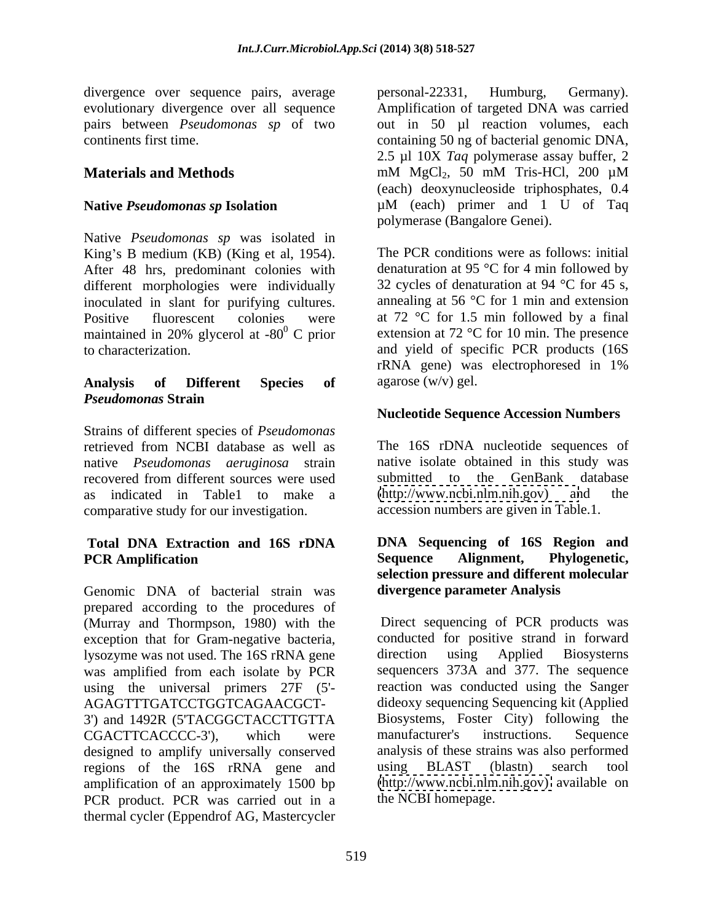divergence over sequence pairs, average personal-22331, Humburg, Germany).

Native *Pseudomonas sp* was isolated in King's B medium (KB) (King et al, 1954). The PCR conditions were as follows: initial After 48 hrs, predominant colonies with different morphologies were individually inoculated in slant for purifying cultures. Positive fluorescent colonies were at 72 °C for 1.5 min followed by a final maintained in 20% glycerol at -80 $^{\circ}$  C prior extension at 72  $^{\circ}$ C for 10 min. The presence to characterization. and yield of specific PCR products (16S

# *Pseudomonas* **Strain**

Strains of different species of *Pseudomonas* retrieved from NCBI database as well as The 16S rDNA nucleotide sequences of native *Pseudomonas aeruginosa* strain recovered from different sources were used as indicated in Table1 to make a comparative study for our investigation.

Genomic DNA of bacterial strain was prepared according to the procedures of (Murray and Thormpson, 1980) with the exception that for Gram-negative bacteria, conducted for positive strand in forward<br>lysozyme was not used. The 16S rRNA gene direction using Applied Biosystems lysozyme was not used. The 16S rRNA gene was amplified from each isolate by PCR sequencers 373A and 377. The sequence using the universal primers 27F (5'- AGAGTTTGATCCTGGTCAGAACGCT- dideoxy sequencing Sequencing kit (Applied 3') and 1492R (5'TACGGCTACCTTGTTA Biosystems, Foster City) following the CGACTTCACCCC-3'). which were manufacturer's instructions. Sequence CGACTTCACCCC-3'), which were manufacturer's instructions. Sequence designed to amplify universally conserved regions of the 16S rRNA gene and using BLAST (blastn) search tool amplification of an approximately 1500 bp PCR product. PCR was carried out in a thermal cycler (Eppendrof AG, Mastercycler

evolutionary divergence over all sequence Amplification of targeted DNA was carried pairs between *Pseudomonas sp* of two out in 50 µl reaction volumes, each continents first time. containing 50 ng of bacterial genomic DNA, **Materials and Methods** mM MgCl<sub>2</sub>, 50 mM Tris-HCl, 200 µM **Native** *Pseudomonas sp* **Isolation** µM (each) primer and 1 U of Taq personal-22331, Humburg, Germany). 2.5 µl 10X *Taq* polymerase assay buffer, 2 mM  $MgCl_2$ , 50 mM Tris-HCl, 200  $\mu$ M (each) deoxynucleoside triphosphates, 0.4

**Analysis of Different Species of** polymerase (Bangalore Genei). The PCR conditions were as follows: initial denaturation at 95  $\degree$ C for 4 min followed by 32 cycles of denaturation at 94  $^{\circ}$ C for 45 s, annealing at 56 °C for 1 min and extension extension at 72 °C for 10 min. The presence rRNA gene) was electrophoresed in 1% agarose (w/v) gel.

### **Nucleotide Sequence Accession Numbers**

native isolate obtained in this study was submitted to the GenBank database  $(http://www.ncbi.nlm.nih.gov)$ accession numbers are given in Table.1.

#### **Total DNA Extraction and 16S rDNA DNA Sequencing of 16S Region and PCR Amplification Sequence Alignment, Phylogenetic, selection pressure and different molecular divergence parameter Analysis**

Direct sequencing of PCR products was conducted for positive strand in forward direction using Applied Biosysterns reaction was conducted using the Sanger Biosystems, Foster City) following the manufacturer's instructions. Sequence analysis of these strains was also performed using BLAST (blastn) search tool [\(http://www.ncbi.nlm.nih.gov\)](http://www.ncbi.nlm.nih.gov) available on the NCBI homepage.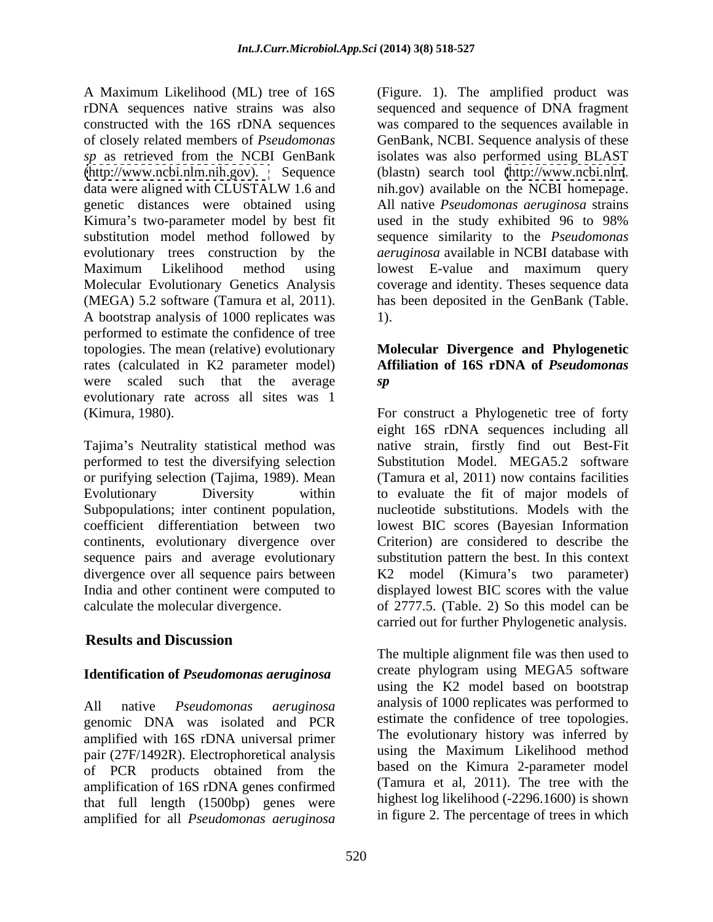A Maximum Likelihood (ML) tree of 16S (Figure. 1). The amplified product was rDNA sequences native strains was also sequenced and sequence of DNA fragment constructed with the 16S rDNA sequences was compared to thesequences available in of closely related members of *Pseudomonas*  GenBank, NCBI. Sequence analysis of these *sp* as retrieved from the NCBI GenBank isolates was also performed using BLAST [\(http://www.ncbi.nlm.nih.gov\).](http://www.ncbi.nlm.nih.gov) Sequence (blastn) search tool [\(http://www.ncbi.nlm](http://www.ncbi.nlm). data were aligned with CLUSTALW 1.6 and nih.gov) available on the NCBI homepage. genetic distances were obtained using All native *Pseudomonas aeruginosa* strains Kimura's two-parameter model by best fit used in the study exhibited 96 to 98% substitution model method followed by sequence similarity to the *Pseudomonas*  evolutionary trees construction by the Maximum Likelihood method using lowest E-value and maximum query Molecular Evolutionary Genetics Analysis coverage and identity. Theses sequence data (MEGA) 5.2 software (Tamura et al, 2011). has been deposited in the GenBank (Table.<br>A bootstrap analysis of 1000 replicates was 1). performed to estimate the confidence of tree topologies. The mean (relative) evolutionary **Molecular Divergence and Phylogenetic** rates (calculated in K2 parameter model) were scaled such that the average evolutionary rate across all sites was 1 (Kimura, 1980). For construct a Phylogenetic tree of forty

Tajima's Neutrality statistical method was or purifying selection (Tajima, 1989). Mean coefficient differentiation between two continents, evolutionary divergence over

### **Results and Discussion**

#### **Identification of** *Pseudomonas aeruginosa*

genomic DNA was isolated and PCR amplified with 16S rDNA universal primer pair (27F/1492R). Electrophoretical analysis of PCR products obtained from the amplification of 16S rDNA genes confirmed that full length (1500bp) genes were amplified for all *Pseudomonas aeruginosa*

used in the study exhibited 96 to 98% *aeruginosa* available in NCBI database with has been deposited in the GenBank (Table. 1).

## **Affiliation of 16S rDNA of** *Pseudomonas sp*

performed to test the diversifying selection Substitution Model. MEGA5.2 software Evolutionary Diversity within to evaluate the fit of major models of Subpopulations; inter continent population, and nucleotide substitutions. Models with the sequence pairs and average evolutionary substitution pattern the best. In this context divergence over all sequence pairs between  $K2 \mod K$  (Kimura's two parameter) India and other continent were computed to displayed lowest BIC scores with the value calculate the molecular divergence. of 2777.5. (Table. 2) So this model can be eight 16S rDNA sequences including all native strain, firstly find out Best-Fit (Tamura et al, 2011) now contains facilities lowest BIC scores (Bayesian Information Criterion) are considered to describe the carried out for further Phylogenetic analysis.

All native *Pseudomonas aeruginosa* analysis of 1000 replicates was performed to The multiple alignment file was then used to create phylogram using MEGA5 software using the K2 model based on bootstrap estimate the confidence of tree topologies. The evolutionary history was inferred by using the Maximum Likelihood method based on the Kimura 2-parameter model (Tamura et al, 2011). The tree with the highest log likelihood (-2296.1600) is shown in figure 2. The percentage of trees in which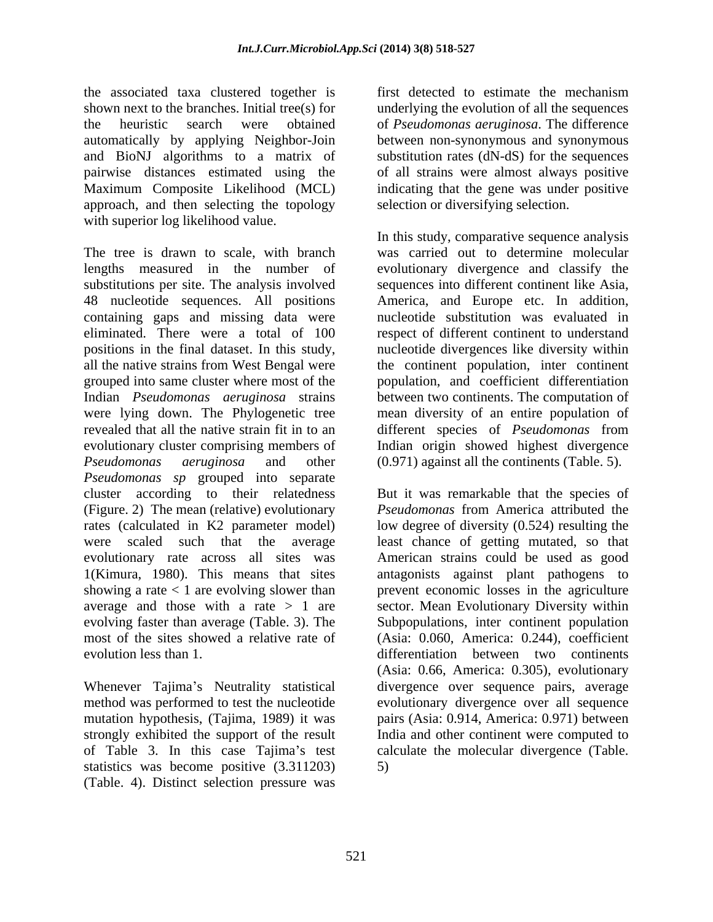the associated taxa clustered together is first detected to estimate the mechanism shown next to the branches. Initial tree(s) for underlying the evolution of all the sequences the heuristic search were obtained of *Pseudomonas aeruginosa*. The difference automatically by applying Neighbor-Join between non-synonymous and synonymous and BioNJ algorithms to a matrix of pairwise distances estimated using the of all strains were almost always positive Maximum Composite Likelihood (MCL) indicating that the gene was under positive approach, and then selecting the topology with superior log likelihood value.

The tree is drawn to scale, with branch was carried out to determine molecular lengths measured in the number of evolutionary divergence and classify the substitutions per site. The analysis involved 48 nucleotide sequences. All positions America, and Europe etc. In addition, containing gaps and missing data were mucleotide substitution was evaluated in eliminated. There were a total of 100 respect of different continent to understand positions in the final dataset. In this study, nucleotide divergences like diversity within all the native strains from West Bengal were the continent population, inter continent grouped into same cluster where most of the population, and coefficient differentiation Indian *Pseudomonas aeruginosa* strains between two continents. The computation of were lying down. The Phylogenetic tree mean diversity of an entire population of revealed that all the native strain fit in to an different species of *Pseudomonas* from evolutionary cluster comprising members of *Pseudomonas aeruginosa* and other (0.971) against all the continents (Table. 5). *Pseudomonas sp* grouped into separate cluster according to their relatedness But it was remarkable that the species of (Figure. 2) The mean (relative) evolutionary *Pseudomonas* from America attributed the rates (calculated in K2 parameter model) low degree of diversity (0.524) resulting the were scaled such that the average least chance of getting mutated, so that evolutionary rate across all sites was American strains could be used as good 1(Kimura, 1980). This means that sites antagonists against plant pathogens to showing a rate < 1 are evolving slower than prevent economic losses in the agriculture average and those with a rate > 1 are sector. Mean Evolutionary Diversity within evolving faster than average (Table. 3). The Subpopulations, inter continent population most of the sites showed a relative rate of (Asia: 0.060, America: 0.244), coefficient

mutation hypothesis, (Tajima, 1989) it was strongly exhibited the support of the result<br>of Table 3. In this case Tajima's test statistics was become positive (3.311203) (Table. 4). Distinct selection pressure was

substitution rates (dN-dS) for the sequences selection or diversifying selection.

In this study, comparative sequence analysis sequences into different continent like Asia, America, and Europe etc. In addition,<br>nucleotide substitution was evaluated in Indian origin showed highest divergence

evolution less than 1. differentiation between two continents Whenever Tajima's Neutrality statistical divergence over sequence pairs, average method was performed to test the nucleotide evolutionary divergence over all sequence of Table 3. In this case Tajima's test calculate the molecular divergence (Table. (Asia: 0.66, America: 0.305), evolutionary pairs (Asia: 0.914, America: 0.971) between India and other continent were computed to 5)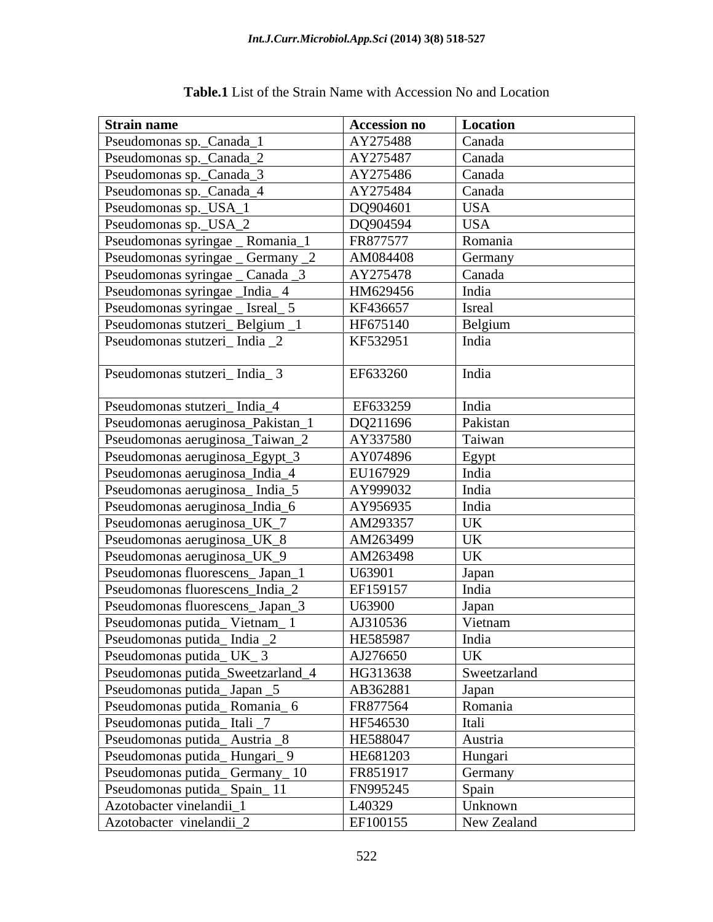| <b>Strain name</b>                | <b>Accession no</b> | <b>Location</b>                                              |
|-----------------------------------|---------------------|--------------------------------------------------------------|
| Pseudomonas sp._Canada_1          | AY275488            | Canada                                                       |
| Pseudomonas sp._Canada_2          | AY275487            | Canada                                                       |
| Pseudomonas sp._Canada_3          | AY275486            | Canada                                                       |
| Pseudomonas sp._Canada_4          | AY275484            | Canada                                                       |
| Pseudomonas sp._USA_1             | DQ904601            | <b>USA</b>                                                   |
| Pseudomonas sp._USA_2             | DQ904594            | <b>USA</b>                                                   |
| Pseudomonas syringae _ Romania_1  | FR877577            | Romania                                                      |
| Pseudomonas syringae _ Germany _2 | AM084408            | Germany                                                      |
| Pseudomonas syringae _ Canada _3  | AY275478            | Canada                                                       |
| Pseudomonas syringae _India_4     | HM629456            | India                                                        |
| Pseudomonas syringae _ Isreal _ 5 | KF436657            | Isreal                                                       |
| Pseudomonas stutzeri_Belgium_1    | HF675140            | Belgium                                                      |
| Pseudomonas stutzeri_India _2     | KF532951            | India                                                        |
|                                   |                     |                                                              |
| Pseudomonas stutzeri_India_3      | EF633260            | India                                                        |
|                                   |                     |                                                              |
| Pseudomonas stutzeri_India_4      | EF633259            | India                                                        |
| Pseudomonas aeruginosa_Pakistan_  | DQ211696            | Pakistan                                                     |
| Pseudomonas aeruginosa_Taiwan_2   | AY337580            | Taiwan                                                       |
| Pseudomonas aeruginosa_Egypt_3    | AY074896            | Egypt<br>India                                               |
| Pseudomonas aeruginosa_India_4    | EU167929            |                                                              |
| Pseudomonas aeruginosa_India_5    | AY999032            | India                                                        |
| Pseudomonas aeruginosa_India_6    | AY956935            | India                                                        |
| Pseudomonas aeruginosa_UK_7       | AM293357            | UK                                                           |
| Pseudomonas aeruginosa_UK_8       | AM263499            | $\begin{tabular}{c} \hline UK \\ UK \\ \hline \end{tabular}$ |
| Pseudomonas aeruginosa_UK_9       | AM263498            |                                                              |
| Pseudomonas fluorescens_Japan_1   | U63901              | Japan                                                        |
| Pseudomonas fluorescens_India_2   | EF159157            | India                                                        |
| Pseudomonas fluorescens_Japan_3   | U63900              | Japan                                                        |
| Pseudomonas putida_Vietnam_1      | AJ310536            | Vietnam                                                      |
| Pseudomonas putida_India _2       | HE585987            | India                                                        |
| Pseudomonas putida_UK_3           | AJ276650            | <b>UK</b>                                                    |
| Pseudomonas putida_Sweetzarland_4 | HG313638            | Sweetzarland                                                 |
| Pseudomonas putida_Japan _5       | AB362881            | Japan                                                        |
| Pseudomonas putida_Romania_6      | FR877564            | Romania                                                      |
| Pseudomonas putida_Itali _7       | HF546530            | Itali                                                        |
| Pseudomonas putida_Austria _8     | HE588047            | Austria                                                      |
| Pseudomonas putida_Hungari_9      | HE681203            | Hungari                                                      |
| Pseudomonas putida_Germany_10     | FR851917            | Germany                                                      |
| Pseudomonas putida_Spain_11       | FN995245            | Spain                                                        |
| Azotobacter vinelandii_1          | L <sub>40329</sub>  | Unknown                                                      |
| Azotobacter vinelandii_2          | EF100155            | New Zealand                                                  |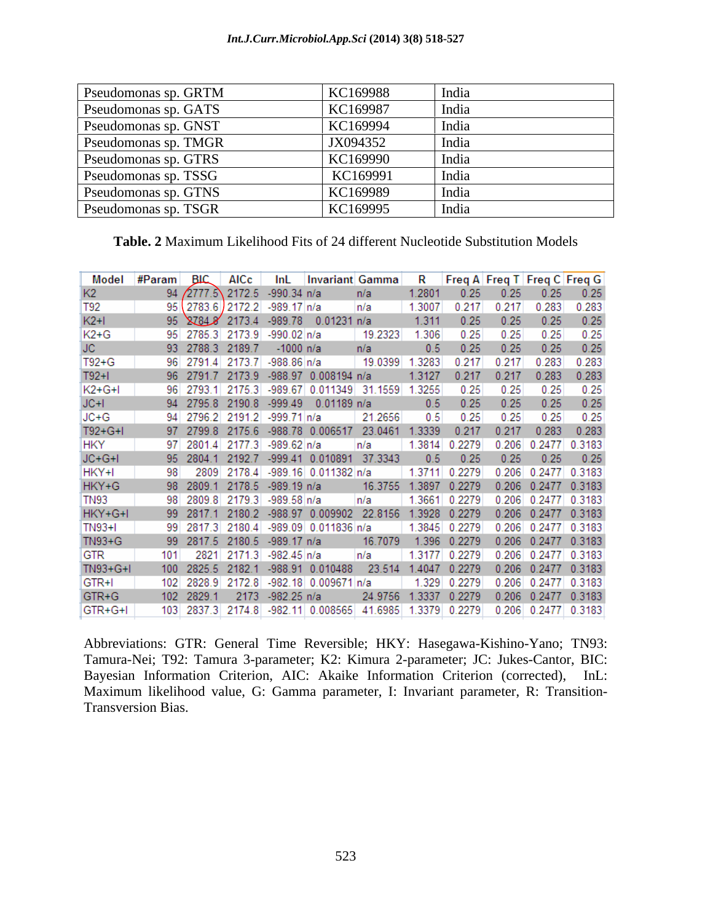#### *Int.J.Curr.Microbiol.App.Sci* **(2014) 3(8) 518-527**

| <b>Pseudomonas sp. GRTM</b> | KC169988 | - India |
|-----------------------------|----------|---------|
| <b>Pseudomonas sp. GATS</b> | KC169987 | India   |
| <b>Pseudomonas sp. GNST</b> | KC169994 | Indi    |
| <b>Pseudomonas sp. TMGR</b> | JX094352 | India   |
| Pseudomonas sp. GTRS        | KC169990 | India   |
| <b>Pseudomonas sp. TSSG</b> | KC169991 |         |
| Pseudomonas sp. GTNS        | KC169989 | India   |
| Pseudomonas sp. TSGR        | KC169995 | India   |

**Table. 2** Maximum Likelihood Fits of 24 different Nucleotide Substitution Models

| Model           | #Param | <b>BIC</b> | AICc   | InL                     | <b>Invariant Gamma</b> |         | R      |        | Freq A Freq T Freq C Freq G |        |        |
|-----------------|--------|------------|--------|-------------------------|------------------------|---------|--------|--------|-----------------------------|--------|--------|
| К2.             | 94     | 2777.5     | 2172.5 | $-990.34$ n/a           |                        | n/a     | 1.2801 | 0.25   | 0.25                        | 0.25   | 0.25   |
| T <sub>92</sub> | 95     | 2783.6     | 2172.2 | $-989.17$ n/a           |                        | n/a     | 1.3007 | 0.217  | 0.217                       | 0.283  | 0.283  |
| $K2+1$          | 95     | 87848      | 2173.4 | $-989.78$               | $0.01231$ n/a          |         | 1.311  | 0.25   | 0.25                        | 0.25   | 0.25   |
| K2+G            | 95     | 2785.3     | 2173.9 | $-990.02 \, \text{m/a}$ |                        | 19.2323 | 1.306  | 0.25   | 0.25                        | 0.25   | 0.25   |
| JC.             | 93     | 2788.3     | 2189.7 | $-1000$ n/a             |                        | n/a     | 0.5    | 0.25   | 0.25                        | 0.25   | 0.25   |
| T92+G           | 96     | 27914      | 2173.7 | -988.86 n/a             |                        | 19.0399 | 1.3283 | 0.217  | 0.217                       | 0.283  | 0.283  |
| $T92+I$         | 96     | 2791.7     | 2173.9 | $-988.97$               | $0.008194$ n/a         |         | 1.3127 | 0.217  | 0.217                       | 0.283  | 0.283  |
| $K2+G+I$        | 96     | 2793.1     | 2175.3 | $-989.67$               | 0.011349               | 31.1559 | 1.3255 | 0.25   | 0.25                        | 0.25   | 0.25   |
| $JC + I$        | 94     | 2795.8     | 2190.8 | $-999.49$               | $0.01189$ n/a          |         | 0.5    | 0.25   | 0.25                        | 0.25   | 0.25   |
| ∣JC+G           | 94     | 2796.2     | 2191.2 | -999.71 n/a             |                        | 21.2656 | 0.5    | 0.25   | 0.25                        | 0.25   | 0.25   |
| $T92+G+I$       | 97     | 2799.8     | 2175.6 | $-988.78$               | 0.006517               | 23.0461 | 1.3339 | 0.217  | 0.217                       | 0.283  | 0.283  |
| <b>HKY</b>      | 97     | 2801.4     | 2177.3 | -989.62 n/a             |                        | n/a     | 1.3814 | 0.2279 | 0.206                       | 0.2477 | 0.3183 |
| $JC+G+I$        | 95     | 2804.1     | 2192.7 |                         | -999.41 0.010891       | 37.3343 | 0.5    | 0.25   | 0.25                        | 0.25   | 0.25   |
| HKY+I           | 98     | 2809       | 2178.4 |                         | -989.16 0.011382 n/a   |         | 1.3711 | 0.2279 | 0.206                       | 0.2477 | 0.3183 |
| HKY+G           | 98     | 2809.1     | 2178.5 | $-989.19$ n/a           |                        | 16.3755 | 1.3897 | 0.2279 | 0.206                       | 0.2477 | 0.3183 |
| <b>TN93</b>     | 98     | 2809.8     | 2179.3 | $-989.58 n/a$           |                        | n/a     | 1.3661 | 0.2279 | 0.206                       | 0.2477 | 0.3183 |
| $HKY+G+I$       | 99     | 2817.1     | 2180.2 |                         | -988.97 0.009902       | 22.8156 | 1.3928 | 0.2279 | 0.206                       | 0.2477 | 0.3183 |
| <b>TN93+I</b>   | 99     | 2817.3     | 2180.4 |                         | -989.09 0.011836 n/a   |         | 1.3845 | 0.2279 | 0.206                       | 0.2477 | 0.3183 |
| TN93+G          | 99     | 2817.5     | 2180.5 | $-989.17$ n/a           |                        | 16.7079 | 1.396  | 0.2279 | 0.206                       | 0.2477 | 0.3183 |
| GTR             | 101    | 2821       | 2171.3 | -982.45 n/a             |                        | n/a     | 1.3177 | 0.2279 | 0.206                       | 0.2477 | 0.3183 |
| TN93+G+I        | 100    | 2825.5     | 2182.1 | $-988.91$               | 0.010488               | 23.514  | 1.4047 | 0.2279 | 0.206                       | 0.2477 | 0.3183 |
| GTR+I           | 102    | 2828.9     | 2172.8 |                         | -982.18 0.009671 n/a   |         | 1.329  | 0.2279 | 0.206                       | 0.2477 | 0.3183 |
| GTR+G           | 102    | 2829.1     | 2173   | $-982.25$ n/a           |                        | 24.9756 | 1.3337 | 0.2279 | 0.206                       | 0.2477 | 0.3183 |
| GTR+G+I         | 103    | 2837.3     | 2174.8 |                         | $-982.11$ 0.008565     | 41.6985 | 1.3379 | 0.2279 | 0.206                       | 0.2477 | 0.3183 |

Abbreviations: GTR: General Time Reversible; HKY: Hasegawa-Kishino-Yano; TN93: Tamura-Nei; T92: Tamura 3-parameter; K2: Kimura 2-parameter; JC: Jukes-Cantor, BIC: Bayesian Information Criterion, AIC: Akaike Information Criterion (corrected), InL: Maximum likelihood value, G: Gamma parameter, I: Invariant parameter, R: Transition- Transversion Bias.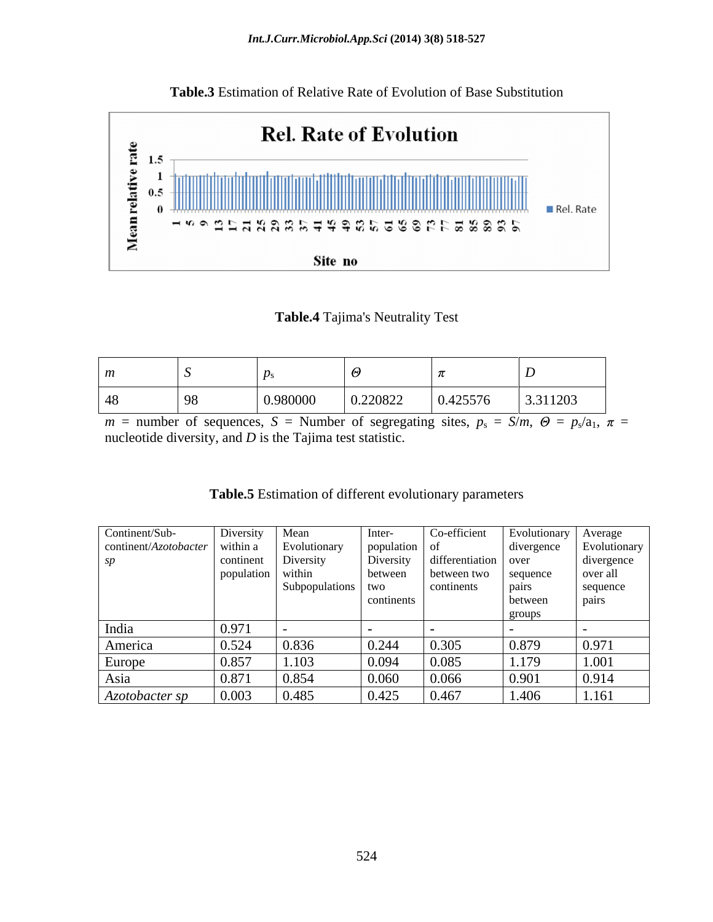

**Table.3** Estimation of Relative Rate of Evolution of Base Substitution

#### **Table.4** Tajima's Neutrality Test

 $m =$  number of sequences,  $S =$  Number of segregating sites,  $p_s = S/m$ ,  $\Theta = p_s/a_1$ ,  $\pi =$ nucleotide diversity, and *D* is the Tajima test statistic.

| Table.5<br>- -<br>different evolution<br>e Estimation of di | onary parameters |  |  |
|-------------------------------------------------------------|------------------|--|--|
|                                                             |                  |  |  |

| Continent/Sub-        | Diversity  | Mean               | Inter-        | Co-efficient           | Evolutionary | Average      |
|-----------------------|------------|--------------------|---------------|------------------------|--------------|--------------|
| continent/Azotobacter | within a   | Evolutionary       | population of |                        | divergence   | Evolutionary |
| sp                    | continent  | Diversity          | Diversity     | $differential on$ over |              | divergence   |
|                       | population | within             | between       | between two            | sequence     | over all     |
|                       |            | Subpopulations two |               | continents             | pairs        | sequence     |
|                       |            |                    | continents    |                        | between      | pairs        |
|                       |            |                    |               |                        | groups       |              |
| India                 | 0.97       |                    |               |                        |              |              |
| America               | 0.524      | 0.836              | 0.244         | 0.305                  | 0.879        | 0.971        |
| Europe                | 0.857      | 1.103              | 0.094         | 0.085                  | 1.179        | 1.001        |
| Asia                  | 0.87       | 0.854              | 0.060         | 0.066                  | 0.901        | 0.914        |
| Azotobacter sp        | 0.003      | 0.485              | 0.425         | 0.467                  | 1.406        | 1.161        |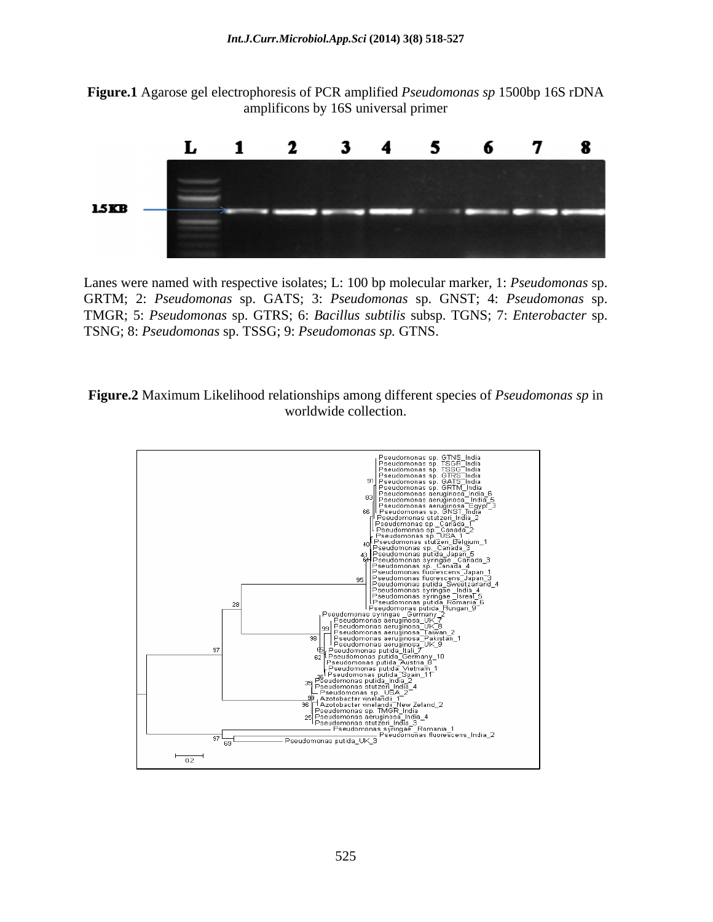**Figure.1** Agarose gel electrophoresis of PCR amplified *Pseudomonas sp* 1500bp 16S rDNA amplificons by 16S universal primer



Lanes were named with respective isolates; L: 100 bp molecular marker, 1: *Pseudomonas* sp. GRTM; 2: *Pseudomonas* sp. GATS; 3: *Pseudomonas* sp. GNST; 4: *Pseudomonas* sp. TMGR; 5: *Pseudomonas* sp. GTRS; 6: *Bacillus subtilis* subsp. TGNS; 7: *Enterobacter* sp. TSNG; 8: *Pseudomonas* sp. TSSG; 9: *Pseudomonas sp.* GTNS.



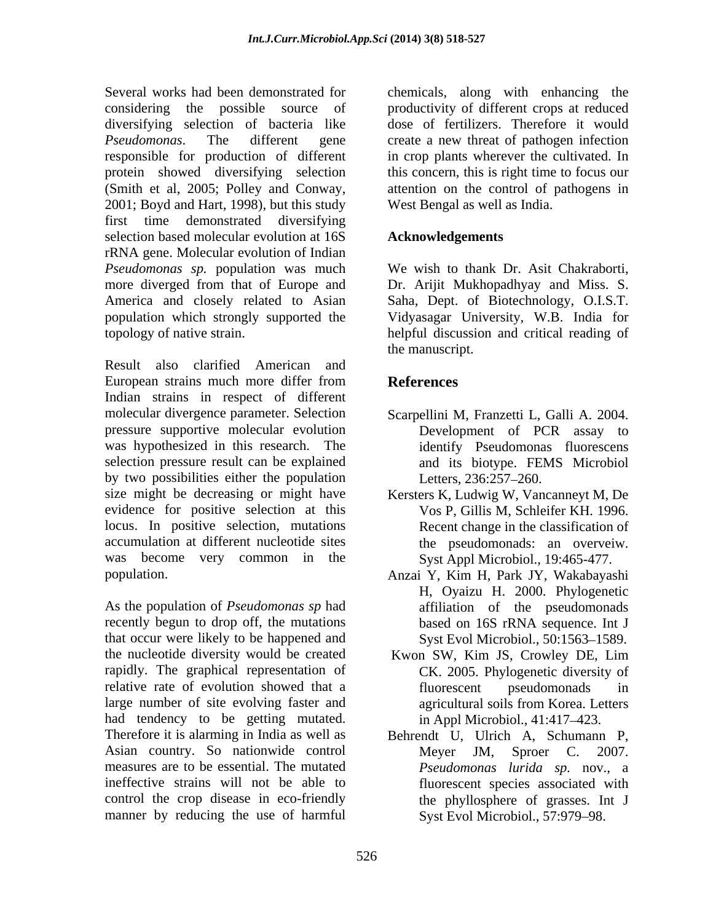Several works had been demonstrated for chemicals, along with enhancing the considering the possible source of productivity of different crops at reduced diversifying selection of bacteria like *Pseudomonas*. The different gene create a new threat of pathogen infection responsible for production of different in crop plants wherever the cultivated. In protein showed diversifying selection (Smith et al, 2005; Polley and Conway, attention on the control of pathogens in 2001; Boyd and Hart, 1998), but this study West Bengal as well as India. first time demonstrated diversifying selection based molecular evolution at 16S rRNA gene. Molecular evolution of Indian *Pseudomonas sp.* population was much more diverged from that of Europe and Dr. Arijit Mukhopadhyay and Miss. S. America and closely related to Asian Saha, Dept. of Biotechnology, O.I.S.T. population which strongly supported the Vidyasagar University, W.B. India for topology of native strain. helpful discussion and critical reading of

Result also clarified American and European strains much more differ from **References** Indian strains in respect of different molecular divergence parameter. Selection Scarpellini M, Franzetti L, Galli A. 2004. pressure supportive molecular evolution was hypothesized in this research. The selection pressure result can be explained and its biotype. FEMS Microbiol by two possibilities either the population Letters, 236:257-260. size might be decreasing or might have Kersters K, Ludwig W, Vancanneyt M, De evidence for positive selection at this locus. In positive selection, mutations accumulation at different nucleotide sites the pseudomonads: an overveiw. was become very common in the

recently begun to drop off, the mutations based on 16S rRNA sequence. Int J that occur were likely to be happened and the nucleotide diversity would be created Kwon SW, Kim JS, Crowley DE, Lim rapidly. The graphical representation of relative rate of evolution showed that a fluorescent pseudomonads in large number of site evolving faster and agricultural soils from Korea. Letters had tendency to be getting mutated. Therefore it is alarming in India as well as Behrendt U, Ulrich A, Schumann P, Asian country. So nationwide control Meyer JM, Sproer C. 2007. measures are to be essential. The mutated *Pseudomonas lurida sp.* nov., a ineffective strains will not be able to control the crop disease in eco-friendly the phyllosphere of grasses. Int J manner by reducing the use of harmful

dose of fertilizers. Therefore it would thisconcern, this is right time to focus our attention on the control of pathogens in West Bengal as well as India.

#### **Acknowledgements**

We wish to thank Dr. Asit Chakraborti, the manuscript.

#### **References**

- Development of PCR assay to identify Pseudomonas fluorescens Letters, 236:257–260.
- Vos P, Gillis M, Schleifer KH. 1996. Recent change in the classification of Syst Appl Microbiol., 19:465-477.
- population.<br>
Anzai Y, Kim H, Park JY, Wakabayashi<br>
H, Oyaizu H. 2000. Phylogenetic<br>
As the population of *Pseudomonas sp* had<br>
affiliation of the pseudomonads Anzai Y, Kim H, Park JY, Wakabayashi H, Oyaizu H. 2000. Phylogenetic affiliation of the pseudomonads based on 16S rRNA sequence. Int J Syst Evol Microbiol., 50:1563-1589.
	- Kwon SW, Kim JS, Crowley DE, Lim CK. 2005. Phylogenetic diversity of fluorescent pseudomonads in agricultural soils from Korea. Letters in Appl Microbiol., 41:417–423.
	- Meyer JM, Sproer C. 2007. fluorescent species associated with Syst Evol Microbiol., 57:979-98.